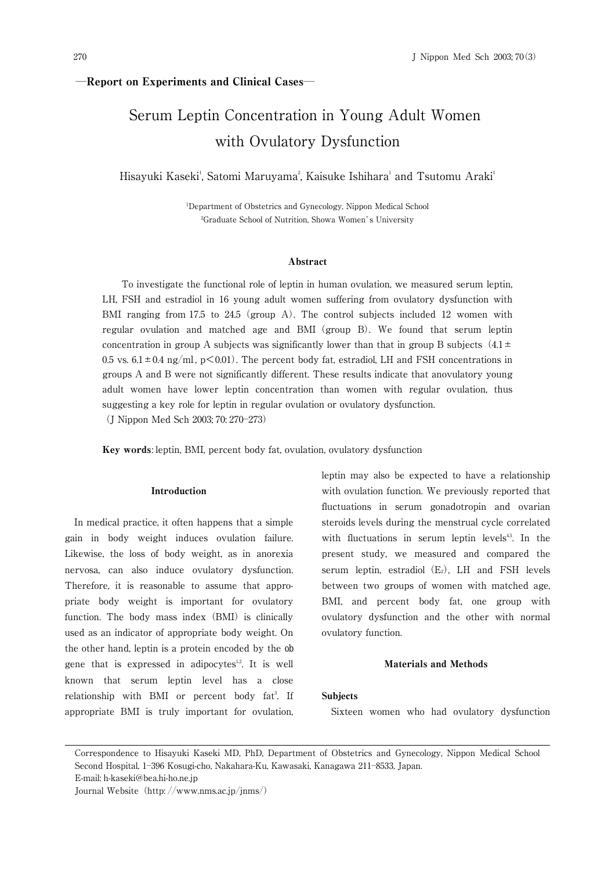270 J Nippon Med Sch 2003; 70(3)

## **―**Report on Experiments and Clinical Cases**―**

# Serum Leptin Concentration in Young Adult Women with Ovulatory Dysfunction

Hisayuki Kaseki', Satomi Maruyama<sup>2</sup>, Kaisuke Ishihara' and Tsutomu Araki'

1 Department of Obstetrics and Gynecology, Nippon Medical School 2 Graduate School of Nutrition, Showa Women's University

## Abstract

To investigate the functional role of leptin in human ovulation, we measured serum leptin, LH, FSH and estradiol in 16 young adult women suffering from ovulatory dysfunction with BMI ranging from 17.5 to 24.5 (group A). The control subjects included 12 women with regular ovulation and matched age and BMI(group B). We found that serum leptin concentration in group A subjects was significantly lower than that in group B subjects  $(4.1 \pm$ 0.5 vs.  $6.1 \pm 0.4$  ng/ml, p $\leq 0.01$ ). The percent body fat, estradiol, LH and FSH concentrations in groups A and B were not significantly different. These results indicate that anovulatory young adult women have lower leptin concentration than women with regular ovulation, thus suggesting a key role for leptin in regular ovulation or ovulatory dysfunction. (J Nippon Med Sch 2003; 70: 270―273)

Key words: leptin, BMI, percent body fat, ovulation, ovulatory dysfunction

#### Introduction

In medical practice, it often happens that a simple gain in body weight induces ovulation failure. Likewise, the loss of body weight, as in anorexia nervosa, can also induce ovulatory dysfunction. Therefore, it is reasonable to assume that appropriate body weight is important for ovulatory function. The body mass index (BMI) is clinically used as an indicator of appropriate body weight. On the other hand, leptin is a protein encoded by the *ob* gene that is expressed in adipocytes $12$ . It is well known that serum leptin level has a close relationship with BMI or percent body fat<sup>3</sup>. If appropriate BMI is truly important for ovulation, leptin may also be expected to have a relationship with ovulation function. We previously reported that fluctuations in serum gonadotropin and ovarian steroids levels during the menstrual cycle correlated with fluctuations in serum leptin levels<sup>45</sup>. In the present study, we measured and compared the serum leptin, estradiol  $(E_2)$ , LH and FSH levels between two groups of women with matched age, BMI, and percent body fat, one group with ovulatory dysfunction and the other with normal ovulatory function.

## Materials and Methods

### Subjects

Sixteen women who had ovulatory dysfunction

Correspondence to Hisayuki Kaseki MD, PhD, Department of Obstetrics and Gynecology, Nippon Medical School Second Hospital, 1―396 Kosugi-cho, Nakahara-Ku, Kawasaki, Kanagawa 211―8533, Japan.

E-mail: h-kaseki@bea.hi-ho.ne.jp

Journal Website (http://www.nms.ac.jp/jnms/)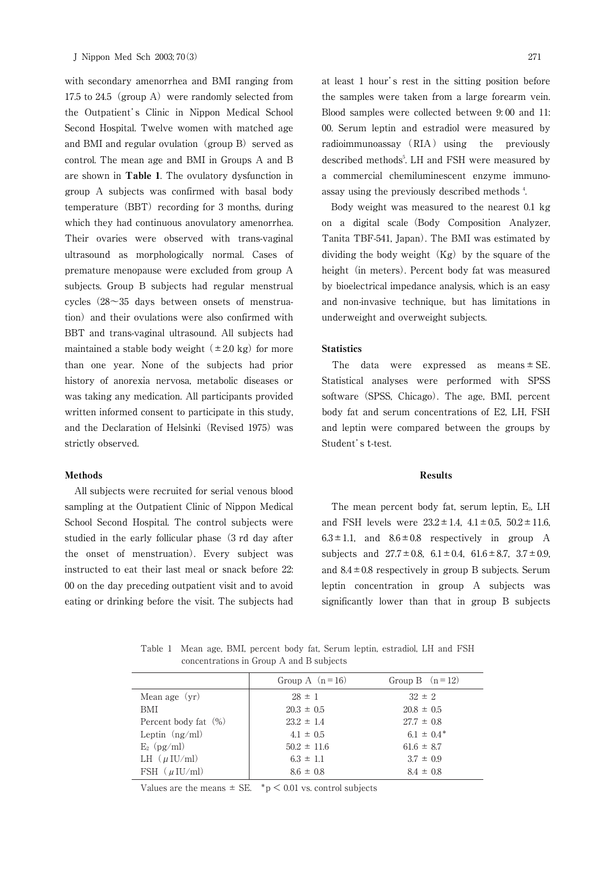with secondary amenorrhea and BMI ranging from 17.5 to 24.5 (group A) were randomly selected from the Outpatient's Clinic in Nippon Medical School Second Hospital. Twelve women with matched age and BMI and regular ovulation (group B) served as control. The mean age and BMI in Groups A and B are shown in Table 1. The ovulatory dysfunction in group A subjects was confirmed with basal body temperature  $(BBT)$  recording for 3 months, during which they had continuous anovulatory amenorrhea. Their ovaries were observed with trans-vaginal ultrasound as morphologically normal. Cases of premature menopause were excluded from group A subjects. Group B subjects had regular menstrual cycles  $(28~35$  days between onsets of menstruation) and their ovulations were also confirmed with BBT and trans-vaginal ultrasound. All subjects had maintained a stable body weight  $(\pm 2.0 \text{ kg})$  for more than one year. None of the subjects had prior history of anorexia nervosa, metabolic diseases or was taking any medication. All participants provided written informed consent to participate in this study, and the Declaration of Helsinki (Revised 1975) was strictly observed.

#### Methods

All subjects were recruited for serial venous blood sampling at the Outpatient Clinic of Nippon Medical School Second Hospital. The control subjects were studied in the early follicular phase (3 rd day after the onset of menstruation). Every subject was instructed to eat their last meal or snack before 22: 00 on the day preceding outpatient visit and to avoid eating or drinking before the visit. The subjects had at least 1 hour's rest in the sitting position before the samples were taken from a large forearm vein. Blood samples were collected between 9: 00 and 11: 00. Serum leptin and estradiol were measured by radioimmunoassay (RIA) using the previously described methods<sup>5</sup>. LH and FSH were measured by a commercial chemiluminescent enzyme immunoassay using the previously described methods <sup>4</sup> .

Body weight was measured to the nearest 0.1 kg on a digital scale(Body Composition Analyzer, Tanita TBF-541, Japan). The BMI was estimated by dividing the body weight  $(Kg)$  by the square of the height (in meters). Percent body fat was measured by bioelectrical impedance analysis, which is an easy and non-invasive technique, but has limitations in underweight and overweight subjects.

## **Statistics**

The data were expressed as means  $\pm$  SE. Statistical analyses were performed with SPSS software (SPSS, Chicago). The age, BMI, percent body fat and serum concentrations of E2, LH, FSH and leptin were compared between the groups by Student's *t*-test.

#### Results

The mean percent body fat, serum leptin,  $E_2$ , LH and FSH levels were  $23.2 \pm 1.4$ ,  $4.1 \pm 0.5$ ,  $50.2 \pm 11.6$ ,  $6.3 \pm 1.1$ , and  $8.6 \pm 0.8$  respectively in group A subjects and  $27.7 \pm 0.8$ ,  $6.1 \pm 0.4$ ,  $61.6 \pm 8.7$ ,  $3.7 \pm 0.9$ , and  $8.4 \pm 0.8$  respectively in group B subjects. Serum leptin concentration in group A subjects was significantly lower than that in group B subjects

Table 1 Mean age, BMI, percent body fat, Serum leptin, estradiol, LH and FSH concentrations in Group A and B subjects

|                            | Group A $(n=16)$ | Group B $(n=12)$ |
|----------------------------|------------------|------------------|
| Mean age $(yr)$            | $28 \pm 1$       | $32 \pm 2$       |
| BMI                        | $20.3 \pm 0.5$   | $20.8 \pm 0.5$   |
| Percent body fat (%)       | $23.2 \pm 1.4$   | $27.7 \pm 0.8$   |
| Leptin $(ng/ml)$           | $4.1 \pm 0.5$    | $6.1 \pm 0.4^*$  |
| $E_2$ (pg/m <i>l</i> )     | $50.2 \pm 11.6$  | $61.6 \pm 8.7$   |
| LH $(\mu$ IU/m <i>l</i> )  | $6.3 \pm 1.1$    | $3.7 \pm 0.9$    |
| FSH $(\mu$ IU/m <i>l</i> ) | $8.6 \pm 0.8$    | $8.4 \pm 0.8$    |

Values are the means  $\pm$  SE. \*p  $\leq$  0.01 vs. control subjects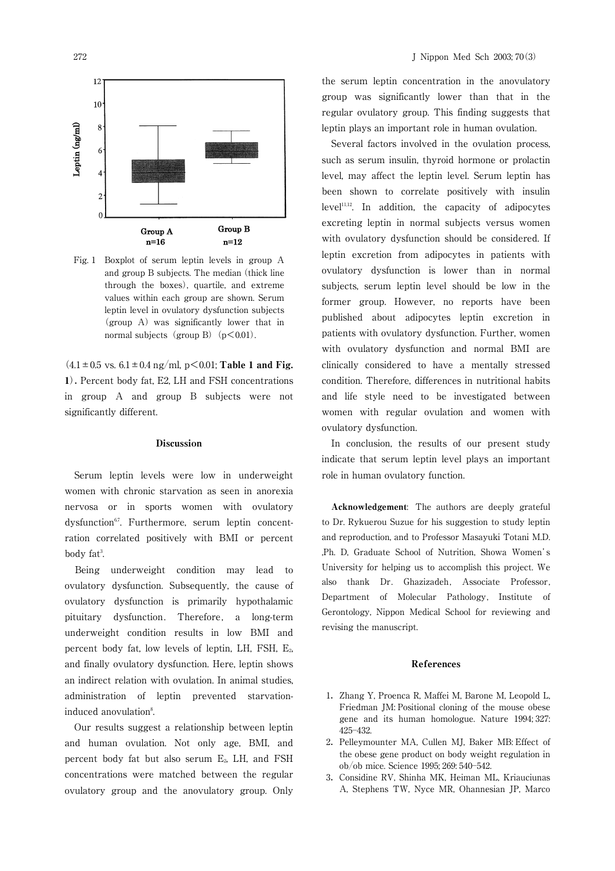

Group A  $n=16$ 

Fig. 1 Boxplot of serum leptin levels in group A and group B subjects. The median (thick line through the boxes), quartile, and extreme values within each group are shown. Serum leptin level in ovulatory dysfunction subjects (group A) was significantly lower that in normal subjects (group B)  $(p<0.01)$ .

Group B

 $n=12$ 

 $(4.1 \pm 0.5 \text{ vs. } 6.1 \pm 0.4 \text{ ng/ml}, \text{ p} \leq 0.01$ ; Table 1 and Fig. 1).Percent body fat, E2, LH and FSH concentrations in group A and group B subjects were not significantly different.

#### Discussion

Serum leptin levels were low in underweight women with chronic starvation as seen in anorexia nervosa or in sports women with ovulatory dysfunction<sup>67</sup>. Furthermore, serum leptin concentration correlated positively with BMI or percent body fat<sup>3</sup>. .

Being underweight condition may lead to ovulatory dysfunction. Subsequently, the cause of ovulatory dysfunction is primarily hypothalamic pituitary dysfunction. Therefore, a long-term underweight condition results in low BMI and percent body fat, low levels of leptin, LH, FSH, E2, and finally ovulatory dysfunction. Here, leptin shows an indirect relation with ovulation. In animal studies, administration of leptin prevented starvationinduced anovulation<sup>8</sup>. .

Our results suggest a relationship between leptin and human ovulation. Not only age, BMI, and percent body fat but also serum E2, LH, and FSH concentrations were matched between the regular ovulatory group and the anovulatory group. Only the serum leptin concentration in the anovulatory group was significantly lower than that in the regular ovulatory group. This finding suggests that leptin plays an important role in human ovulation.

Several factors involved in the ovulation process, such as serum insulin, thyroid hormone or prolactin level, may affect the leptin level. Serum leptin has been shown to correlate positively with insulin  $level<sup>11,12</sup>$ . In addition, the capacity of adipocytes excreting leptin in normal subjects versus women with ovulatory dysfunction should be considered. If leptin excretion from adipocytes in patients with ovulatory dysfunction is lower than in normal subjects, serum leptin level should be low in the former group. However, no reports have been published about adipocytes leptin excretion in patients with ovulatory dysfunction. Further, women with ovulatory dysfunction and normal BMI are clinically considered to have a mentally stressed condition. Therefore, differences in nutritional habits and life style need to be investigated between women with regular ovulation and women with ovulatory dysfunction.

In conclusion, the results of our present study indicate that serum leptin level plays an important role in human ovulatory function.

Acknowledgement: The authors are deeply grateful to Dr. Rykuerou Suzue for his suggestion to study leptin and reproduction, and to Professor Masayuki Totani M.D. ,Ph. D, Graduate School of Nutrition, Showa Women's University for helping us to accomplish this project. We also thank Dr. Ghazizadeh, Associate Professor, Department of Molecular Pathology, Institute of Gerontology, Nippon Medical School for reviewing and revising the manuscript.

## References

- 1. Zhang Y, Proenca R, Maffei M, Barone M, Leopold L, Friedman JM: Positional cloning of the mouse obese gene and its human homologue. Nature 1994; 327: 425―432.
- 2. Pelleymounter MA, Cullen MJ, Baker MB: Effect of the obese gene product on body weight regulation in ob/ob mice. Science 1995: 269: 540–542.
- 3.Considine RV, Shinha MK, Heiman ML, Kriauciunas A, Stephens TW, Nyce MR, Ohannesian JP, Marco